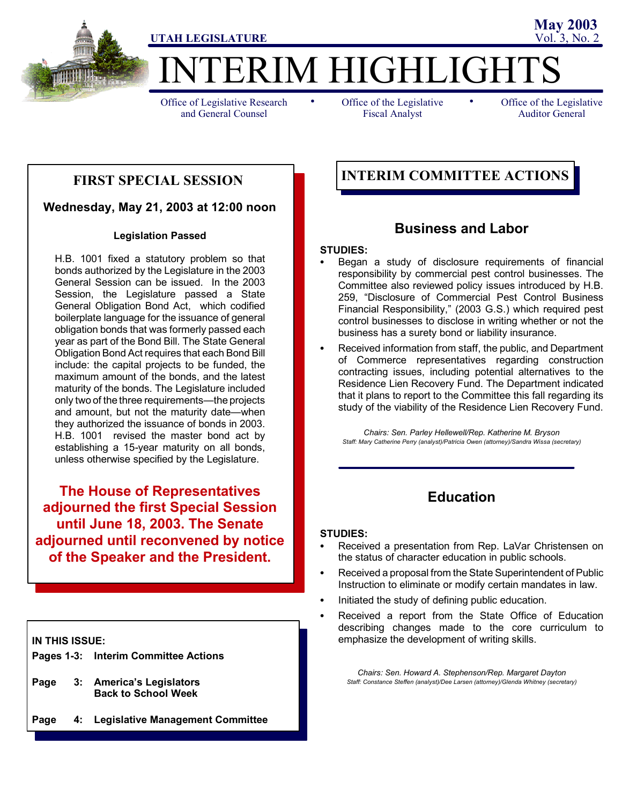

ERIM HIGHLIGHT

Office of Legislative Research and General Counsel

• Office of the Legislative • Fiscal Analyst

Office of the Legislative Auditor General

**May 2003**

### **FIRST SPECIAL SESSION**

### **Wednesday, May 21, 2003 at 12:00 noon**

#### **Legislation Passed**

H.B. 1001 fixed a statutory problem so that bonds authorized by the Legislature in the 2003 General Session can be issued. In the 2003 Session, the Legislature passed a State General Obligation Bond Act, which codified boilerplate language for the issuance of general obligation bonds that was formerly passed each year as part of the Bond Bill. The State General Obligation Bond Act requires that each Bond Bill include: the capital projects to be funded, the maximum amount of the bonds, and the latest maturity of the bonds. The Legislature included only two of the three requirements—the projects and amount, but not the maturity date—when they authorized the issuance of bonds in 2003. H.B. 1001 revised the master bond act by establishing a 15-year maturity on all bonds, unless otherwise specified by the Legislature.

**The House of Representatives adjourned the first Special Session until June 18, 2003. The Senate adjourned until reconvened by notice of the Speaker and the President.**

**IN THIS ISSUE:**

|  | Pages 1-3: Interim Committee Actions |
|--|--------------------------------------|
|--|--------------------------------------|

- **Page 3: America's Legislators Back to School Week**
- **Page 4: Legislative Management Committee**

### **INTERIM COMMITTEE ACTIONS**

### **Business and Labor**

#### **STUDIES:**

- Began a study of disclosure requirements of financial responsibility by commercial pest control businesses. The Committee also reviewed policy issues introduced by H.B. 259, "Disclosure of Commercial Pest Control Business Financial Responsibility," (2003 G.S.) which required pest control businesses to disclose in writing whether or not the business has a surety bond or liability insurance.
- Received information from staff, the public, and Department of Commerce representatives regarding construction contracting issues, including potential alternatives to the Residence Lien Recovery Fund. The Department indicated that it plans to report to the Committee this fall regarding its study of the viability of the Residence Lien Recovery Fund.

*Chairs: Sen. Parley Hellewell/Rep. Katherine M. Bryson Staff: Mary Catherine Perry (analyst)/Patricia Owen (attorney)/Sandra Wissa (secretary)*

### **Education**

#### **STUDIES:**

- Received a presentation from Rep. LaVar Christensen on the status of character education in public schools.
- Received a proposal from the State Superintendent of Public Instruction to eliminate or modify certain mandates in law.
- Initiated the study of defining public education.
- Received a report from the State Office of Education describing changes made to the core curriculum to emphasize the development of writing skills.

*Chairs: Sen. Howard A. Stephenson/Rep. Margaret Dayton Staff: Constance Steffen (analyst)/Dee Larsen (attorney)/Glenda Whitney (secretary)*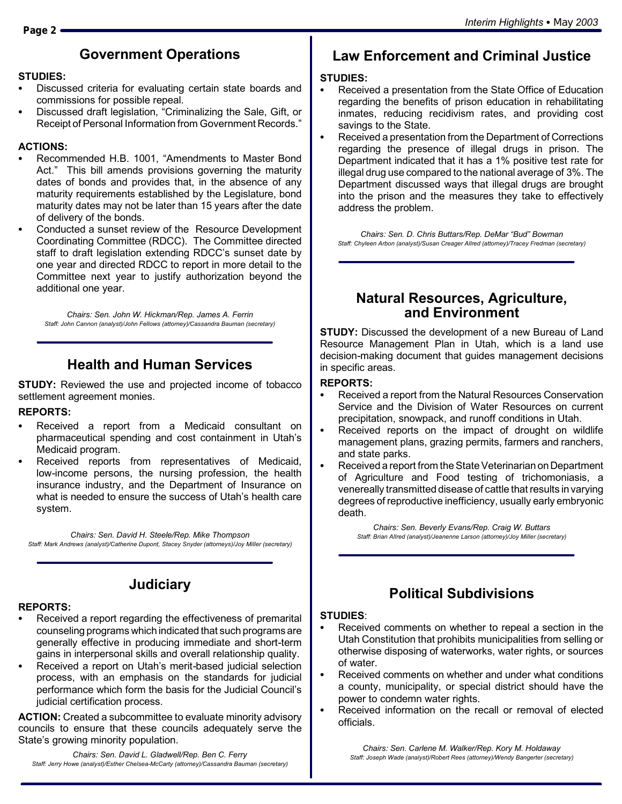# **Government Operations**

### **STUDIES:**

- Discussed criteria for evaluating certain state boards and commissions for possible repeal.
- Discussed draft legislation, "Criminalizing the Sale, Gift, or Receipt of Personal Information from Government Records."

### **ACTIONS:**

- Recommended H.B. 1001, "Amendments to Master Bond Act." This bill amends provisions governing the maturity dates of bonds and provides that, in the absence of any maturity requirements established by the Legislature, bond maturity dates may not be later than 15 years after the date of delivery of the bonds.
- Conducted a sunset review of the Resource Development Coordinating Committee (RDCC). The Committee directed staff to draft legislation extending RDCC's sunset date by one year and directed RDCC to report in more detail to the Committee next year to justify authorization beyond the additional one year.

*Chairs: Sen. John W. Hickman/Rep. James A. Ferrin Staff: John Cannon (analyst)/John Fellows (attorney)/Cassandra Bauman (secretary)*

# **Health and Human Services**

**STUDY:** Reviewed the use and projected income of tobacco settlement agreement monies.

### **REPORTS:**

- Received a report from a Medicaid consultant on pharmaceutical spending and cost containment in Utah's Medicaid program.
- Received reports from representatives of Medicaid, low-income persons, the nursing profession, the health insurance industry, and the Department of Insurance on what is needed to ensure the success of Utah's health care system.

*Chairs: Sen. David H. Steele/Rep. Mike Thompson Staff: Mark Andrews (analyst)/Catherine Dupont, Stacey Snyder (attorneys)/Joy Miller (secretary)*

# **Judiciary**

### **REPORTS:**

- Received a report regarding the effectiveness of premarital counseling programs which indicated that such programs are generally effective in producing immediate and short-term gains in interpersonal skills and overall relationship quality.
- Received a report on Utah's merit-based judicial selection process, with an emphasis on the standards for judicial performance which form the basis for the Judicial Council's judicial certification process.

**ACTION:** Created a subcommittee to evaluate minority advisory councils to ensure that these councils adequately serve the State's growing minority population.

*Chairs: Sen. David L. Gladwell/Rep. Ben C. Ferry Staff: Jerry Howe (analyst)/Esther Chelsea-McCarty (attorney)/Cassandra Bauman (secretary)*

# **Law Enforcement and Criminal Justice**

### **STUDIES:**

- Received a presentation from the State Office of Education regarding the benefits of prison education in rehabilitating inmates, reducing recidivism rates, and providing cost savings to the State.
- Received a presentation from the Department of Corrections regarding the presence of illegal drugs in prison. The Department indicated that it has a 1% positive test rate for illegal drug use compared to the national average of 3%. The Department discussed ways that illegal drugs are brought into the prison and the measures they take to effectively address the problem.

*Chairs: Sen. D. Chris Buttars/Rep. DeMar "Bud" Bowman Staff: Chyleen Arbon (analyst)/Susan Creager Allred (attorney)/Tracey Fredman (secretary)*

### **Natural Resources, Agriculture, and Environment**

**STUDY:** Discussed the development of a new Bureau of Land Resource Management Plan in Utah, which is a land use decision-making document that guides management decisions in specific areas.

### **REPORTS:**

- Received a report from the Natural Resources Conservation Service and the Division of Water Resources on current precipitation, snowpack, and runoff conditions in Utah.
- Received reports on the impact of drought on wildlife management plans, grazing permits, farmers and ranchers, and state parks.
- Received a report from the State Veterinarian on Department of Agriculture and Food testing of trichomoniasis, a venereally transmitted disease of cattle that results in varying degrees of reproductive inefficiency, usually early embryonic death.

*Chairs: Sen. Beverly Evans/Rep. Craig W. Buttars Staff: Brian Allred (analyst)/Jeanenne Larson (attorney)/Joy Miller (secretary)*

# **Political Subdivisions**

### **STUDIES**:

- Received comments on whether to repeal a section in the Utah Constitution that prohibits municipalities from selling or otherwise disposing of waterworks, water rights, or sources of water.
- Received comments on whether and under what conditions a county, municipality, or special district should have the power to condemn water rights.
- Received information on the recall or removal of elected officials.

*Chairs: Sen. Carlene M. Walker/Rep. Kory M. Holdaway Staff: Joseph Wade (analyst)/Robert Rees (attorney)/Wendy Bangerter (secretary)*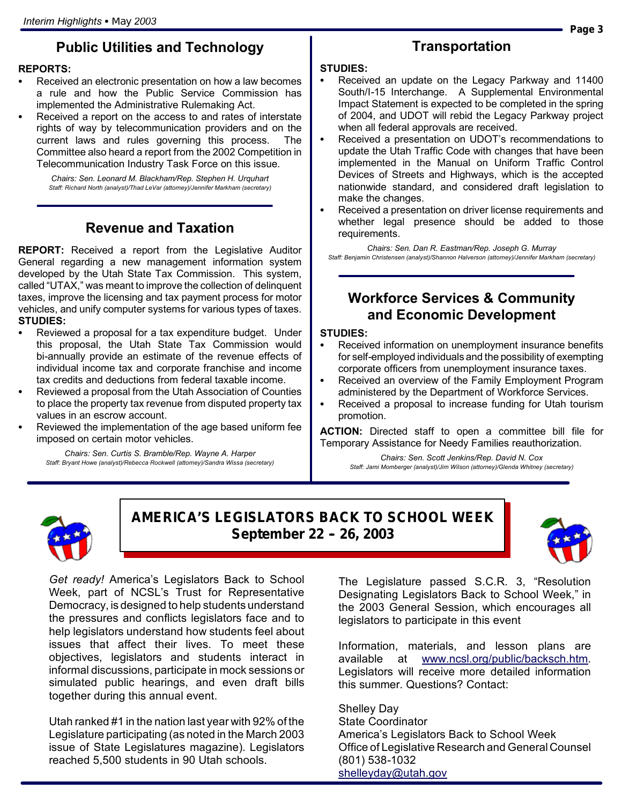## **Public Utilities and Technology**

#### **REPORTS:**

- Received an electronic presentation on how a law becomes a rule and how the Public Service Commission has implemented the Administrative Rulemaking Act.
- Received a report on the access to and rates of interstate rights of way by telecommunication providers and on the current laws and rules governing this process. The Committee also heard a report from the 2002 Competition in Telecommunication Industry Task Force on this issue.

*Chairs: Sen. Leonard M. Blackham/Rep. Stephen H. Urquhart Staff: Richard North (analyst)/Thad LeVar (attorney)/Jennifer Markham (secretary)*

### **Revenue and Taxation**

**REPORT:** Received a report from the Legislative Auditor General regarding a new management information system developed by the Utah State Tax Commission. This system, called "UTAX," was meant to improve the collection of delinquent taxes, improve the licensing and tax payment process for motor vehicles, and unify computer systems for various types of taxes. **STUDIES:**

- Reviewed a proposal for a tax expenditure budget. Under this proposal, the Utah State Tax Commission would bi-annually provide an estimate of the revenue effects of individual income tax and corporate franchise and income tax credits and deductions from federal taxable income.
- Reviewed a proposal from the Utah Association of Counties to place the property tax revenue from disputed property tax values in an escrow account.
- Reviewed the implementation of the age based uniform fee imposed on certain motor vehicles.

*Chairs: Sen. Curtis S. Bramble/Rep. Wayne A. Harper Staff: Bryant Howe (analyst)/Rebecca Rockwell (attorney)/Sandra Wissa (secretary)*

### **Transportation**

#### **STUDIES:**

- Received an update on the Legacy Parkway and 11400 South/I-15 Interchange. A Supplemental Environmental Impact Statement is expected to be completed in the spring of 2004, and UDOT will rebid the Legacy Parkway project when all federal approvals are received.
- Received a presentation on UDOT's recommendations to update the Utah Traffic Code with changes that have been implemented in the Manual on Uniform Traffic Control Devices of Streets and Highways, which is the accepted nationwide standard, and considered draft legislation to make the changes.
- Received a presentation on driver license requirements and whether legal presence should be added to those requirements.

*Chairs: Sen. Dan R. Eastman/Rep. Joseph G. Murray Staff: Benjamin Christensen (analyst)/Shannon Halverson (attorney)/Jennifer Markham (secretary)*

### **Workforce Services & Community and Economic Development**

#### **STUDIES:**

- Received information on unemployment insurance benefits for self-employed individuals and the possibility of exempting corporate officers from unemployment insurance taxes.
- Received an overview of the Family Employment Program administered by the Department of Workforce Services.
- Received a proposal to increase funding for Utah tourism promotion.

**ACTION:** Directed staff to open a committee bill file for Temporary Assistance for Needy Families reauthorization.

*Chairs: Sen. Scott Jenkins/Rep. David N. Cox Staff: Jami Momberger (analyst)/Jim Wilson (attorney)/Glenda Whitney (secretary)*



**AMERICA'S LEGISLATORS BACK TO SCHOOL WEEK** September 22 - 26, 2003



*Get ready!* America's Legislators Back to School Week, part of NCSL's Trust for Representative Democracy, is designed to help students understand the pressures and conflicts legislators face and to help legislators understand how students feel about issues that affect their lives. To meet these objectives, legislators and students interact in informal discussions, participate in mock sessions or simulated public hearings, and even draft bills together during this annual event.

Utah ranked #1 in the nation last year with 92% of the Legislature participating (as noted in the March 2003 issue of State Legislatures magazine). Legislators reached 5,500 students in 90 Utah schools.

The Legislature passed S.C.R. 3, "Resolution Designating Legislators Back to School Week," in the 2003 General Session, which encourages all legislators to participate in this event

Information, materials, and lesson plans are available at www.ncsl.org/public/backsch.htm. Legislators will receive more detailed information this summer. Questions? Contact:

Shelley Day State Coordinator America's Legislators Back to School Week Office of Legislative Research and General Counsel (801) 538-1032 shelleyday@utah.gov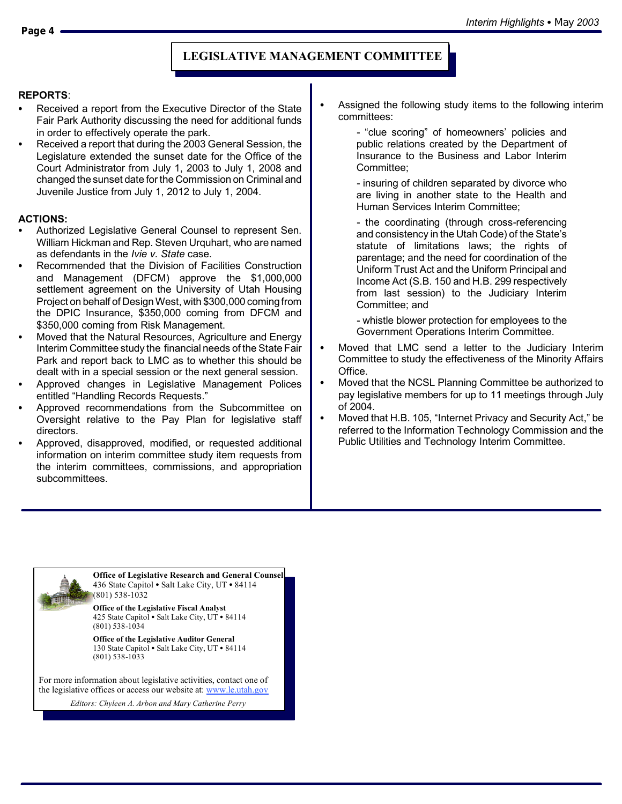### **LEGISLATIVE MANAGEMENT COMMITTEE**

#### **REPORTS**:

- Received a report from the Executive Director of the State Fair Park Authority discussing the need for additional funds in order to effectively operate the park.
- Received a report that during the 2003 General Session, the Legislature extended the sunset date for the Office of the Court Administrator from July 1, 2003 to July 1, 2008 and changed the sunset date for the Commission on Criminal and Juvenile Justice from July 1, 2012 to July 1, 2004.

#### **ACTIONS:**

- Authorized Legislative General Counsel to represent Sen. William Hickman and Rep. Steven Urquhart, who are named as defendants in the *Ivie v. State* case.
- Recommended that the Division of Facilities Construction and Management (DFCM) approve the \$1,000,000 settlement agreement on the University of Utah Housing Project on behalf of Design West, with \$300,000 comingfrom the DPIC Insurance, \$350,000 coming from DFCM and \$350,000 coming from Risk Management.
- Moved that the Natural Resources, Agriculture and Energy Interim Committee study the financial needs of the State Fair Park and report back to LMC as to whether this should be dealt with in a special session or the next general session.
- Approved changes in Legislative Management Polices entitled "Handling Records Requests."
- Approved recommendations from the Subcommittee on Oversight relative to the Pay Plan for legislative staff directors.
- Approved, disapproved, modified, or requested additional information on interim committee study item requests from the interim committees, commissions, and appropriation subcommittees.
- Assigned the following study items to the following interim committees:
	- "clue scoring" of homeowners' policies and public relations created by the Department of Insurance to the Business and Labor Interim Committee;
	- insuring of children separated by divorce who are living in another state to the Health and Human Services Interim Committee;

- the coordinating (through cross-referencing and consistency in the Utah Code) of the State's statute of limitations laws; the rights of parentage; and the need for coordination of the Uniform Trust Act and the Uniform Principal and Income Act (S.B. 150 and H.B. 299 respectively from last session) to the Judiciary Interim Committee; and

- whistle blower protection for employees to the Government Operations Interim Committee.

- Moved that LMC send a letter to the Judiciary Interim Committee to study the effectiveness of the Minority Affairs Office.
- Moved that the NCSL Planning Committee be authorized to pay legislative members for up to 11 meetings through July of 2004.
- Moved that H.B. 105, "Internet Privacy and Security Act," be referred to the Information Technology Commission and the Public Utilities and Technology Interim Committee.



*Editors: Chyleen A. Arbon and Mary Catherine Perry*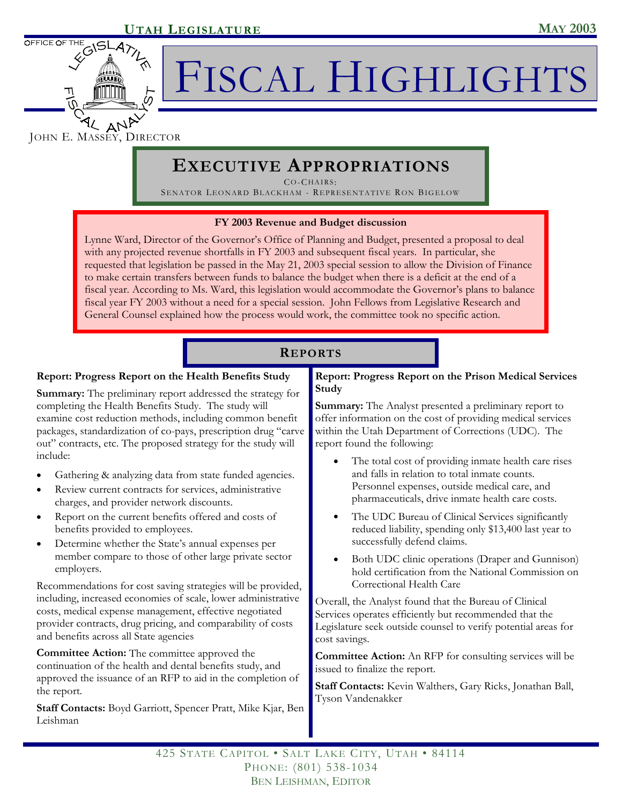

FISCAL HIGHLIGHTS

JOHN E. MASSEY, DIRECTOR

# **EXECUTIVE APPROPRIATIONS**

CO-CHAIRS :

SENATOR LEONARD BLACKHAM - REPRESENTATIVE RON BIGELOW

### **FY 2003 Revenue and Budget discussion**

Lynne Ward, Director of the Governor's Office of Planning and Budget, presented a proposal to deal with any projected revenue shortfalls in FY 2003 and subsequent fiscal years. In particular, she requested that legislation be passed in the May 21, 2003 special session to allow the Division of Finance to make certain transfers between funds to balance the budget when there is a deficit at the end of a fiscal year. According to Ms. Ward, this legislation would accommodate the Governor's plans to balance fiscal year FY 2003 without a need for a special session. John Fellows from Legislative Research and General Counsel explained how the process would work, the committee took no specific action.

### **REPORTS**

### **Report: Progress Report on the Health Benefits Study**

**Summary:** The preliminary report addressed the strategy for completing the Health Benefits Study. The study will examine cost reduction methods, including common benefit packages, standardization of co-pays, prescription drug "carve out" contracts, etc. The proposed strategy for the study will include:

- Gathering & analyzing data from state funded agencies.
- Review current contracts for services, administrative charges, and provider network discounts.
- Report on the current benefits offered and costs of benefits provided to employees.
- Determine whether the State's annual expenses per member compare to those of other large private sector employers.

Recommendations for cost saving strategies will be provided, including, increased economies of scale, lower administrative costs, medical expense management, effective negotiated provider contracts, drug pricing, and comparability of costs and benefits across all State agencies

**Committee Action:** The committee approved the continuation of the health and dental benefits study, and approved the issuance of an RFP to aid in the completion of the report.

**Staff Contacts:** Boyd Garriott, Spencer Pratt, Mike Kjar, Ben Leishman

### **Report: Progress Report on the Prison Medical Services Study**

**Summary:** The Analyst presented a preliminary report to offer information on the cost of providing medical services within the Utah Department of Corrections (UDC). The report found the following:

- The total cost of providing inmate health care rises and falls in relation to total inmate counts. Personnel expenses, outside medical care, and pharmaceuticals, drive inmate health care costs.
- The UDC Bureau of Clinical Services significantly reduced liability, spending only \$13,400 last year to successfully defend claims.
- Both UDC clinic operations (Draper and Gunnison) hold certification from the National Commission on Correctional Health Care

Overall, the Analyst found that the Bureau of Clinical Services operates efficiently but recommended that the Legislature seek outside counsel to verify potential areas for cost savings.

**Committee Action:** An RFP for consulting services will be issued to finalize the report.

**Staff Contacts:** Kevin Walthers, Gary Ricks, Jonathan Ball, Tyson Vandenakker

425 STATE CAPITOL • SALT LAKE CITY, UTAH • 84114 PHONE: (801) 538-1034 BEN LEISHMAN, EDITOR